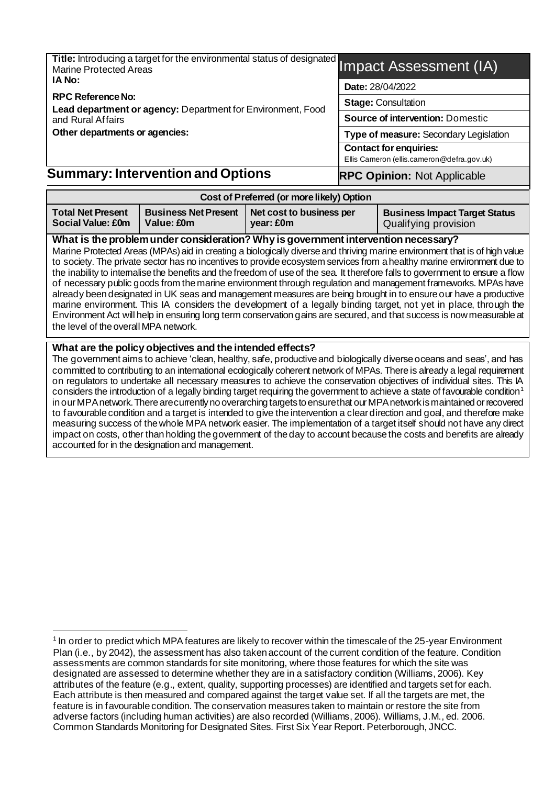| Title: Introducing a target for the environmental status of designated Impact Assessment (IA) |                                                                             |
|-----------------------------------------------------------------------------------------------|-----------------------------------------------------------------------------|
| IA No:                                                                                        | Date: 28/04/2022                                                            |
| <b>RPC Reference No:</b><br>Lead department or agency: Department for Environment, Food       | <b>Stage: Consultation</b>                                                  |
| and Rural Affairs                                                                             | <b>Source of intervention: Domestic</b>                                     |
| Other departments or agencies:                                                                | Type of measure: Secondary Legislation                                      |
|                                                                                               | <b>Contact for enquiries:</b><br>Ellis Cameron (ellis.cameron@defra.gov.uk) |
| <b>Summary: Intervention and Options</b>                                                      | <b>RPC Opinion: Not Applicable</b>                                          |

| Cost of Preferred (or more likely) Option                                                                                    |  |                                       |                                                              |  |  |  |
|------------------------------------------------------------------------------------------------------------------------------|--|---------------------------------------|--------------------------------------------------------------|--|--|--|
| <b>Business Net Present</b><br><b>Total Net Present</b><br>Social Value: £0m<br>Value: £0m                                   |  | Net cost to business per<br>year: £0m | <b>Business Impact Target Status</b><br>Qualifying provision |  |  |  |
| What is the problem under consideration? Why is government intervention necessary?                                           |  |                                       |                                                              |  |  |  |
| Marine Protected Areas (MPAs) aid in creating a biologically diverse and thriving marine environment that is of high value   |  |                                       |                                                              |  |  |  |
| to society. The private sector has no incentives to provide ecosystem services from a healthy marine environment due to      |  |                                       |                                                              |  |  |  |
| the insplitute internalize the benefits and the freedom of use of the sea. It therefore falls to government to ensure a flow |  |                                       |                                                              |  |  |  |

the inability to internalise the benefits and the freedom of use of the sea. It therefore falls to government to of necessary public goods from the marine environment through regulation and management frameworks. MPAs have already been designated in UK seas and management measures are being brought in to ensure our have a productive marine environment. This IA considers the development of a legally binding target, not yet in place, through the Environment Act will help in ensuring long term conservation gains are secured, and that success is now measurable at the level of the overall MPA network.

#### **What are the policy objectives and the intended effects?**

The government aims to achieve 'clean, healthy, safe, productive and biologically diverse oceans and seas', and has committed to contributing to an international ecologically coherent network of MPAs. There is already a legal requirement on regulators to undertake all necessary measures to achieve the conservation objectives of individual sites. This IA considers the introduction of a legally binding target requiring the government to achieve a state of favourable condition<sup>1</sup> in our MPA network. There are currently no overarching targets to ensure that our MPA network is maintained or recovered to favourable condition and a target is intended to give the intervention a clear direction and goal, and therefore make measuring success of the whole MPA network easier. The implementation of a target itself should not have any direct impact on costs, other than holding the government of the day to account because the costs and benefits are already accounted for in the designation and management.

<sup>&</sup>lt;sup>1</sup> In order to predict which MPA features are likely to recover within the timescale of the 25-year Environment Plan (i.e., by 2042), the assessment has also taken account of the current condition of the feature. Condition assessments are common standards for site monitoring, where those features for which the site was designated are assessed to determine whether they are in a satisfactory condition (Williams, 2006). Key attributes of the feature (e.g., extent, quality, supporting processes) are identified and targets set for each. Each attribute is then measured and compared against the target value set. If all the targets are met, the feature is in favourable condition. The conservation measures taken to maintain or restore the site from adverse factors (including human activities) are also recorded (Williams, 2006). Williams, J.M., ed. 2006. Common Standards Monitoring for Designated Sites. First Six Year Report. Peterborough, JNCC.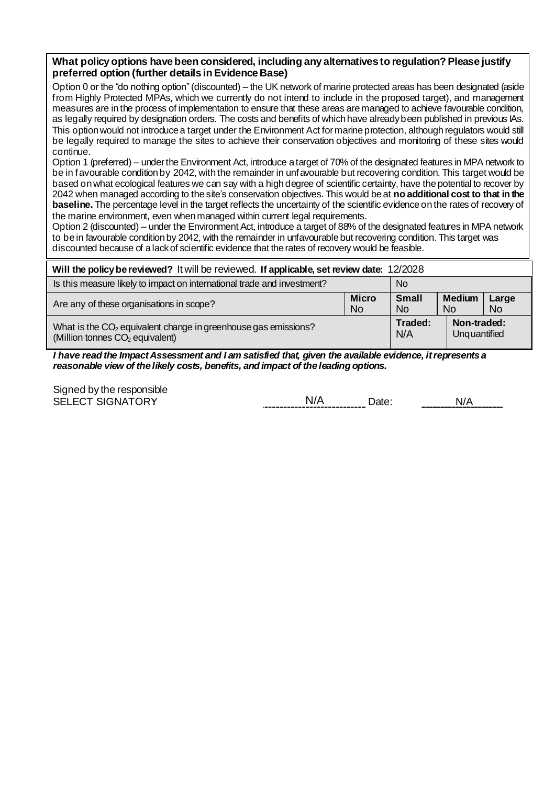#### **What policy options have been considered, including any alternatives to regulation? Please justify preferred option (further details in Evidence Base)**

Option 0 or the "do nothing option"(discounted) – the UK network of marine protected areas has been designated (aside from Highly Protected MPAs, which we currently do not intend to include in the proposed target), and management measures are in the process of implementation to ensure that these areas are managed to achieve favourable condition, as legally required by designation orders. The costs and benefits of which have already been published in previous IAs. This option would not introduce a target under the Environment Act for marine protection, although regulators would still be legally required to manage the sites to achieve their conservation objectives and monitoring of these sites would continue.

Option 1 (preferred) – under the Environment Act, introduce a target of 70% of the designated features in MPA network to be in favourable condition by 2042, with the remainder in unfavourable but recovering condition. This target would be based on what ecological features we can say with a high degree of scientific certainty, have the potential to recover by 2042 when managed according to the site's conservation objectives. This would be at **no additional cost to that in the baseline.** The percentage level in the target reflects the uncertainty of the scientific evidence on the rates of recovery of the marine environment, even when managed within current legal requirements.

Option 2 (discounted) – under the Environment Act, introduce a target of 88% of the designated features in MPA network to be in favourable condition by 2042, with the remainder in unfavourable but recovering condition. This target was discounted because of a lack of scientific evidence that the rates of recovery would be feasible.

| Will the policy be reviewed? It will be reviewed. If applicable, set review date: 12/2028 |              |              |               |       |  |
|-------------------------------------------------------------------------------------------|--------------|--------------|---------------|-------|--|
| Is this measure likely to impact on international trade and investment?                   | <b>No</b>    |              |               |       |  |
| Are any of these organisations in scope?                                                  | <b>Micro</b> | <b>Small</b> | <b>Medium</b> | Large |  |
|                                                                                           | <b>No</b>    | <b>No</b>    | No.           | No.   |  |
| What is the CO <sub>2</sub> equivalent change in greenhouse gas emissions?                | Traded:      | Non-traded:  |               |       |  |
| (Million tonnes CO <sub>2</sub> equivalent)                                               | N/A          | Unquantified |               |       |  |

*I have read the Impact Assessment and I am satisfied that, given the available evidence, it represents a reasonable view of the likely costs, benefits, and impact of the leading options.*

Signed by the responsible<br>SELECT SIGNATORY

N/A Date: N/A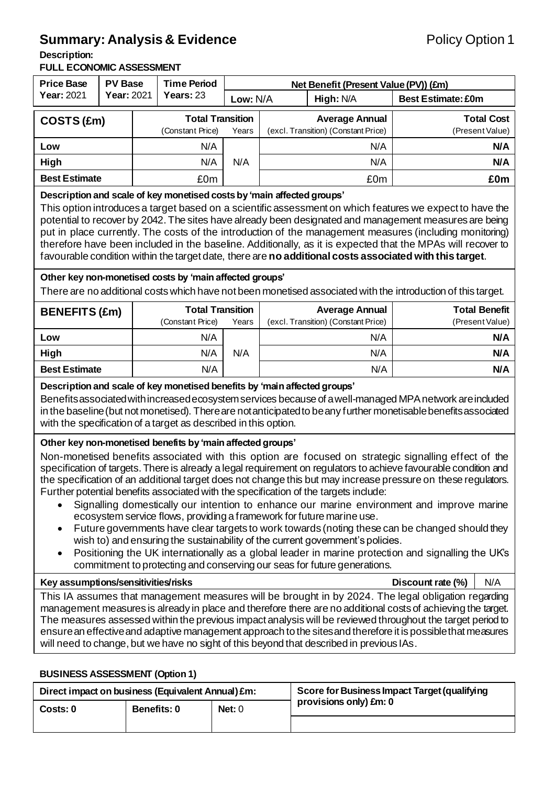### **Summary: Analysis & Evidence Policy Option 1**

#### **Description:**

#### **FULL ECONOMIC ASSESSMENT**

| <b>Price Base</b><br><b>PV Base</b>                                                                                                                                                                                                                                                                                                                                                                                                                                                                                                                                                                                                                                                                                                                                                                                                                                                                                                                                                                                                                       |            | <b>Time Period</b> |                                                         | Net Benefit (Present Value (PV)) (£m) |                                     |                                                              |                                                                                                              |  |
|-----------------------------------------------------------------------------------------------------------------------------------------------------------------------------------------------------------------------------------------------------------------------------------------------------------------------------------------------------------------------------------------------------------------------------------------------------------------------------------------------------------------------------------------------------------------------------------------------------------------------------------------------------------------------------------------------------------------------------------------------------------------------------------------------------------------------------------------------------------------------------------------------------------------------------------------------------------------------------------------------------------------------------------------------------------|------------|--------------------|---------------------------------------------------------|---------------------------------------|-------------------------------------|--------------------------------------------------------------|--------------------------------------------------------------------------------------------------------------|--|
| <b>Year: 2021</b>                                                                                                                                                                                                                                                                                                                                                                                                                                                                                                                                                                                                                                                                                                                                                                                                                                                                                                                                                                                                                                         | Year: 2021 |                    | Years: 23                                               | Low: N/A                              | High: N/A                           |                                                              | <b>Best Estimate: £0m</b>                                                                                    |  |
| COSTS (£m)                                                                                                                                                                                                                                                                                                                                                                                                                                                                                                                                                                                                                                                                                                                                                                                                                                                                                                                                                                                                                                                |            |                    | <b>Total Transition</b>                                 |                                       | <b>Average Annual</b>               |                                                              | <b>Total Cost</b>                                                                                            |  |
|                                                                                                                                                                                                                                                                                                                                                                                                                                                                                                                                                                                                                                                                                                                                                                                                                                                                                                                                                                                                                                                           |            |                    | (Constant Price)                                        | Years                                 | (excl. Transition) (Constant Price) |                                                              | (Present Value)                                                                                              |  |
| Low                                                                                                                                                                                                                                                                                                                                                                                                                                                                                                                                                                                                                                                                                                                                                                                                                                                                                                                                                                                                                                                       |            |                    | N/A                                                     |                                       | N/A                                 |                                                              | N/A                                                                                                          |  |
| High                                                                                                                                                                                                                                                                                                                                                                                                                                                                                                                                                                                                                                                                                                                                                                                                                                                                                                                                                                                                                                                      |            |                    | N/A                                                     | N/A                                   |                                     | N/A                                                          | N/A                                                                                                          |  |
| <b>Best Estimate</b>                                                                                                                                                                                                                                                                                                                                                                                                                                                                                                                                                                                                                                                                                                                                                                                                                                                                                                                                                                                                                                      |            |                    | £0m                                                     |                                       | £0m                                 |                                                              | £0m                                                                                                          |  |
| Description and scale of key monetised costs by 'main affected groups'<br>This option introduces a target based on a scientific assessment on which features we expect to have the<br>potential to recover by 2042. The sites have already been designated and management measures are being<br>put in place currently. The costs of the introduction of the management measures (including monitoring)<br>therefore have been included in the baseline. Additionally, as it is expected that the MPAs will recover to<br>favourable condition within the target date, there are no additional costs associated with this target.                                                                                                                                                                                                                                                                                                                                                                                                                         |            |                    |                                                         |                                       |                                     |                                                              |                                                                                                              |  |
|                                                                                                                                                                                                                                                                                                                                                                                                                                                                                                                                                                                                                                                                                                                                                                                                                                                                                                                                                                                                                                                           |            |                    | Other key non-monetised costs by 'main affected groups' |                                       |                                     |                                                              | There are no additional costs which have not been monetised associated with the introduction of this target. |  |
| <b>BENEFITS (£m)</b>                                                                                                                                                                                                                                                                                                                                                                                                                                                                                                                                                                                                                                                                                                                                                                                                                                                                                                                                                                                                                                      |            |                    | <b>Total Transition</b><br>(Constant Price)             | Years                                 |                                     | <b>Average Annual</b><br>(excl. Transition) (Constant Price) | <b>Total Benefit</b><br>(Present Value)                                                                      |  |
| Low                                                                                                                                                                                                                                                                                                                                                                                                                                                                                                                                                                                                                                                                                                                                                                                                                                                                                                                                                                                                                                                       |            |                    | N/A                                                     |                                       |                                     | N/A                                                          | N/A                                                                                                          |  |
| High                                                                                                                                                                                                                                                                                                                                                                                                                                                                                                                                                                                                                                                                                                                                                                                                                                                                                                                                                                                                                                                      |            |                    | N/A                                                     | N/A                                   |                                     | N/A                                                          | N/A                                                                                                          |  |
| <b>Best Estimate</b>                                                                                                                                                                                                                                                                                                                                                                                                                                                                                                                                                                                                                                                                                                                                                                                                                                                                                                                                                                                                                                      |            |                    | N/A                                                     |                                       |                                     | N/A                                                          | N/A                                                                                                          |  |
| Description and scale of key monetised benefits by 'main affected groups'<br>Benefits associated with increased ecosystem services because of a well-managed MPA network are included<br>in the baseline (but not monetised). There are not anticipated to be any further monetisable benefits associated<br>with the specification of a target as described in this option.                                                                                                                                                                                                                                                                                                                                                                                                                                                                                                                                                                                                                                                                              |            |                    |                                                         |                                       |                                     |                                                              |                                                                                                              |  |
| Other key non-monetised benefits by 'main affected groups'<br>Non-monetised benefits associated with this option are focused on strategic signalling effect of the<br>specification of targets. There is already a legal requirement on regulators to achieve favourable condition and<br>the specification of an additional target does not change this but may increase pressure on these regulators.<br>Further potential benefits associated with the specification of the targets include:<br>Signalling domestically our intention to enhance our marine environment and improve marine<br>ecosystem service flows, providing a framework for future marine use.<br>Future governments have clear targets to work towards (noting these can be changed should they<br>$\bullet$<br>wish to) and ensuring the sustainability of the current government's policies.<br>Positioning the UK internationally as a global leader in marine protection and signalling the UK's<br>commitment to protecting and conserving our seas for future generations. |            |                    |                                                         |                                       |                                     |                                                              |                                                                                                              |  |
| Key assumptions/sensitivities/risks<br>Discount rate (%)<br>N/A<br>This IA assumes that management measures will be brought in by 2024. The legal obligation regarding                                                                                                                                                                                                                                                                                                                                                                                                                                                                                                                                                                                                                                                                                                                                                                                                                                                                                    |            |                    |                                                         |                                       |                                     |                                                              |                                                                                                              |  |
| management measures is already in place and therefore there are no additional costs of achieving the target.<br>The measures assessed within the previous impact analysis will be reviewed throughout the target period to<br>ensure an effective and adaptive management approach to the sites and therefore it is possible that measures<br>will need to change, but we have no sight of this beyond that described in previous IAs.                                                                                                                                                                                                                                                                                                                                                                                                                                                                                                                                                                                                                    |            |                    |                                                         |                                       |                                     |                                                              |                                                                                                              |  |

#### **BUSINESS ASSESSMENT (Option 1)**

| Direct impact on business (Equivalent Annual) £m: |                    |        | Score for Business Impact Target (qualifying |
|---------------------------------------------------|--------------------|--------|----------------------------------------------|
| Costs: 0                                          | <b>Benefits: 0</b> | Net: 0 | provisions only) £m: 0                       |
|                                                   |                    |        |                                              |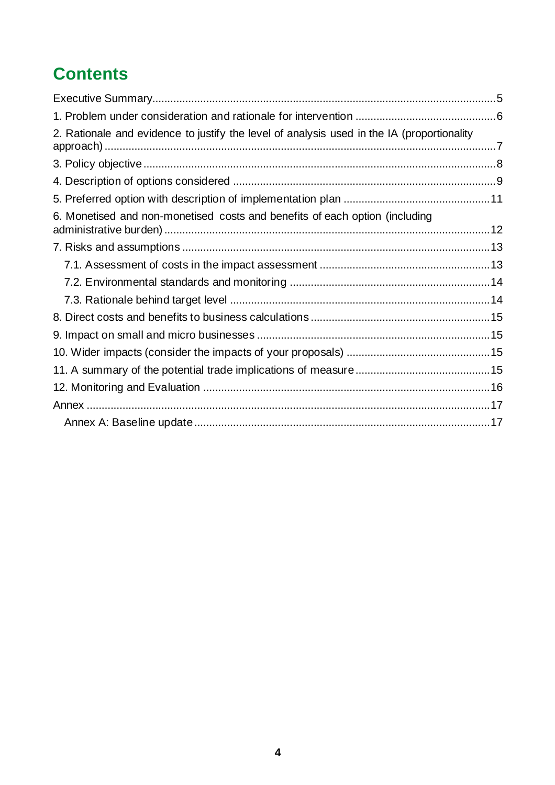## **Contents**

| 2. Rationale and evidence to justify the level of analysis used in the IA (proportionality |  |
|--------------------------------------------------------------------------------------------|--|
|                                                                                            |  |
|                                                                                            |  |
|                                                                                            |  |
| 6. Monetised and non-monetised costs and benefits of each option (including                |  |
|                                                                                            |  |
|                                                                                            |  |
|                                                                                            |  |
|                                                                                            |  |
|                                                                                            |  |
|                                                                                            |  |
|                                                                                            |  |
|                                                                                            |  |
|                                                                                            |  |
|                                                                                            |  |
|                                                                                            |  |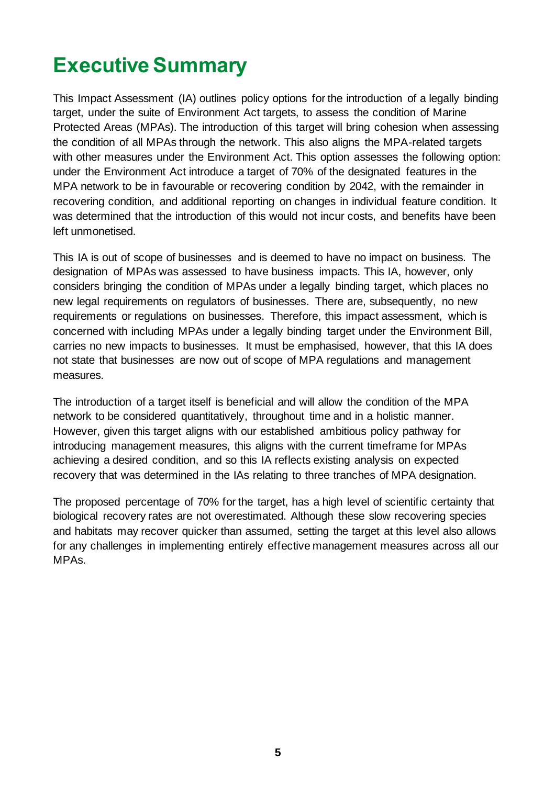# <span id="page-4-0"></span>**Executive Summary**

This Impact Assessment (IA) outlines policy options for the introduction of a legally binding target, under the suite of Environment Act targets, to assess the condition of Marine Protected Areas (MPAs). The introduction of this target will bring cohesion when assessing the condition of all MPAs through the network. This also aligns the MPA-related targets with other measures under the Environment Act. This option assesses the following option: under the Environment Act introduce a target of 70% of the designated features in the MPA network to be in favourable or recovering condition by 2042, with the remainder in recovering condition, and additional reporting on changes in individual feature condition. It was determined that the introduction of this would not incur costs, and benefits have been left unmonetised.

This IA is out of scope of businesses and is deemed to have no impact on business. The designation of MPAs was assessed to have business impacts. This IA, however, only considers bringing the condition of MPAs under a legally binding target, which places no new legal requirements on regulators of businesses. There are, subsequently, no new requirements or regulations on businesses. Therefore, this impact assessment, which is concerned with including MPAs under a legally binding target under the Environment Bill, carries no new impacts to businesses. It must be emphasised, however, that this IA does not state that businesses are now out of scope of MPA regulations and management measures.

The introduction of a target itself is beneficial and will allow the condition of the MPA network to be considered quantitatively, throughout time and in a holistic manner. However, given this target aligns with our established ambitious policy pathway for introducing management measures, this aligns with the current timeframe for MPAs achieving a desired condition, and so this IA reflects existing analysis on expected recovery that was determined in the IAs relating to three tranches of MPA designation.

The proposed percentage of 70% for the target, has a high level of scientific certainty that biological recovery rates are not overestimated. Although these slow recovering species and habitats may recover quicker than assumed, setting the target at this level also allows for any challenges in implementing entirely effective management measures across all our MPAs.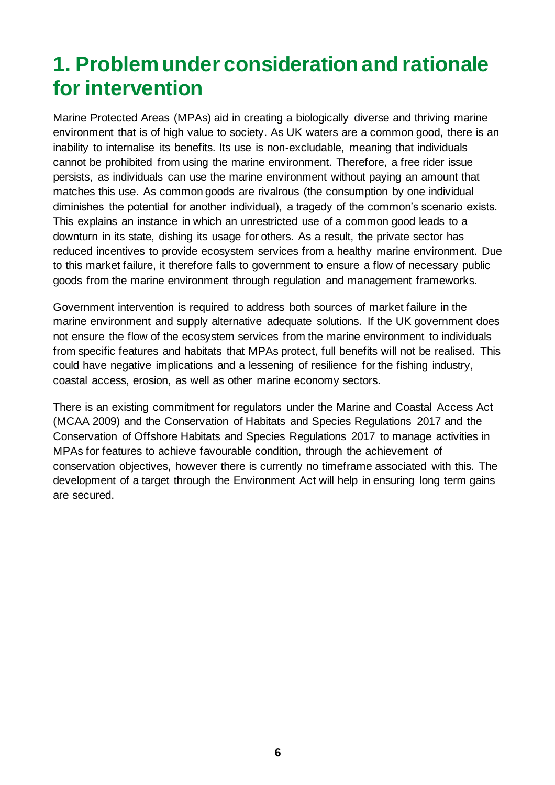## <span id="page-5-0"></span>**1. Problem under consideration and rationale for intervention**

Marine Protected Areas (MPAs) aid in creating a biologically diverse and thriving marine environment that is of high value to society. As UK waters are a common good, there is an inability to internalise its benefits. Its use is non-excludable, meaning that individuals cannot be prohibited from using the marine environment. Therefore, a free rider issue persists, as individuals can use the marine environment without paying an amount that matches this use. As common goods are rivalrous (the consumption by one individual diminishes the potential for another individual), a tragedy of the common's scenario exists. This explains an instance in which an unrestricted use of a common good leads to a downturn in its state, dishing its usage for others. As a result, the private sector has reduced incentives to provide ecosystem services from a healthy marine environment. Due to this market failure, it therefore falls to government to ensure a flow of necessary public goods from the marine environment through regulation and management frameworks.

Government intervention is required to address both sources of market failure in the marine environment and supply alternative adequate solutions. If the UK government does not ensure the flow of the ecosystem services from the marine environment to individuals from specific features and habitats that MPAs protect, full benefits will not be realised. This could have negative implications and a lessening of resilience for the fishing industry, coastal access, erosion, as well as other marine economy sectors.

There is an existing commitment for regulators under the Marine and Coastal Access Act (MCAA 2009) and the Conservation of Habitats and Species Regulations 2017 and the Conservation of Offshore Habitats and Species Regulations 2017 to manage activities in MPAs for features to achieve favourable condition, through the achievement of conservation objectives, however there is currently no timeframe associated with this. The development of a target through the Environment Act will help in ensuring long term gains are secured.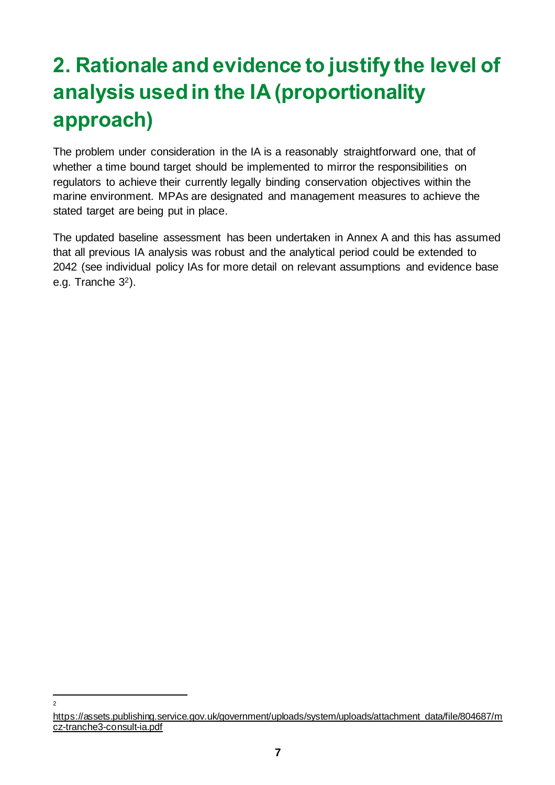# <span id="page-6-0"></span>**2. Rationale and evidence to justify the level of analysis used in the IA (proportionality approach)**

The problem under consideration in the IA is a reasonably straightforward one, that of whether a time bound target should be implemented to mirror the responsibilities on regulators to achieve their currently legally binding conservation objectives within the marine environment. MPAs are designated and management measures to achieve the stated target are being put in place.

The updated baseline assessment has been undertaken in Annex A and this has assumed that all previous IA analysis was robust and the analytical period could be extended to 2042 (see individual policy IAs for more detail on relevant assumptions and evidence base e.g. [Tranche 3](https://assets.publishing.service.gov.uk/government/uploads/system/uploads/attachment_data/file/804687/mcz-tranche3-consult-ia.pdf)2).

 $\overline{2}$ 

[https://assets.publishing.service.gov.uk/government/uploads/system/uploads/attachment\\_data/file/804687/m](https://assets.publishing.service.gov.uk/government/uploads/system/uploads/attachment_data/file/804687/mcz-tranche3-consult-ia.pdf) [cz-tranche3-consult-ia.pdf](https://assets.publishing.service.gov.uk/government/uploads/system/uploads/attachment_data/file/804687/mcz-tranche3-consult-ia.pdf)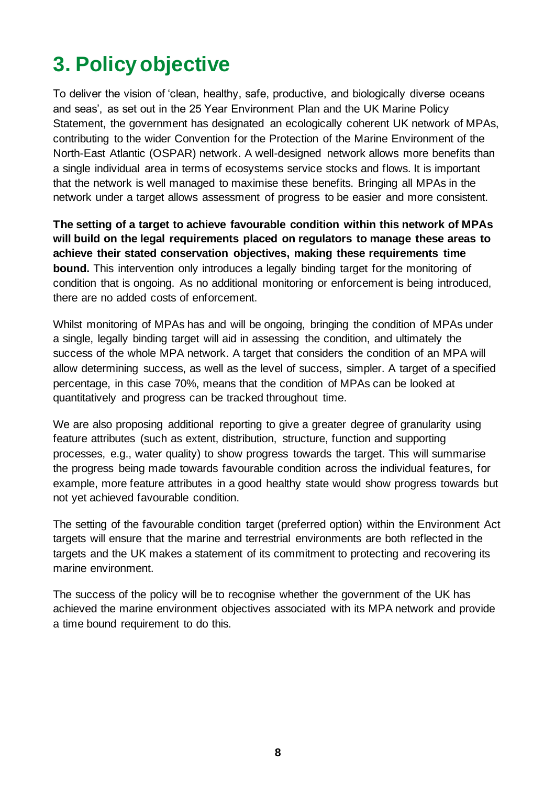# <span id="page-7-0"></span>**3. Policy objective**

To deliver the vision of 'clean, healthy, safe, productive, and biologically diverse oceans and seas', as set out in the 25 Year Environment Plan and the UK Marine Policy Statement, the government has designated an ecologically coherent UK network of MPAs, contributing to the wider Convention for the Protection of the Marine Environment of the North-East Atlantic (OSPAR) network. A well-designed network allows more benefits than a single individual area in terms of ecosystems service stocks and flows. It is important that the network is well managed to maximise these benefits. Bringing all MPAs in the network under a target allows assessment of progress to be easier and more consistent.

**The setting of a target to achieve favourable condition within this network of MPAs will build on the legal requirements placed on regulators to manage these areas to achieve their stated conservation objectives, making these requirements time bound.** This intervention only introduces a legally binding target for the monitoring of condition that is ongoing. As no additional monitoring or enforcement is being introduced, there are no added costs of enforcement.

Whilst monitoring of MPAs has and will be ongoing, bringing the condition of MPAs under a single, legally binding target will aid in assessing the condition, and ultimately the success of the whole MPA network. A target that considers the condition of an MPA will allow determining success, as well as the level of success, simpler. A target of a specified percentage, in this case 70%, means that the condition of MPAs can be looked at quantitatively and progress can be tracked throughout time.

We are also proposing additional reporting to give a greater degree of granularity using feature attributes (such as extent, distribution, structure, function and supporting processes, e.g., water quality) to show progress towards the target. This will summarise the progress being made towards favourable condition across the individual features, for example, more feature attributes in a good healthy state would show progress towards but not yet achieved favourable condition.

The setting of the favourable condition target (preferred option) within the Environment Act targets will ensure that the marine and terrestrial environments are both reflected in the targets and the UK makes a statement of its commitment to protecting and recovering its marine environment.

The success of the policy will be to recognise whether the government of the UK has achieved the marine environment objectives associated with its MPA network and provide a time bound requirement to do this.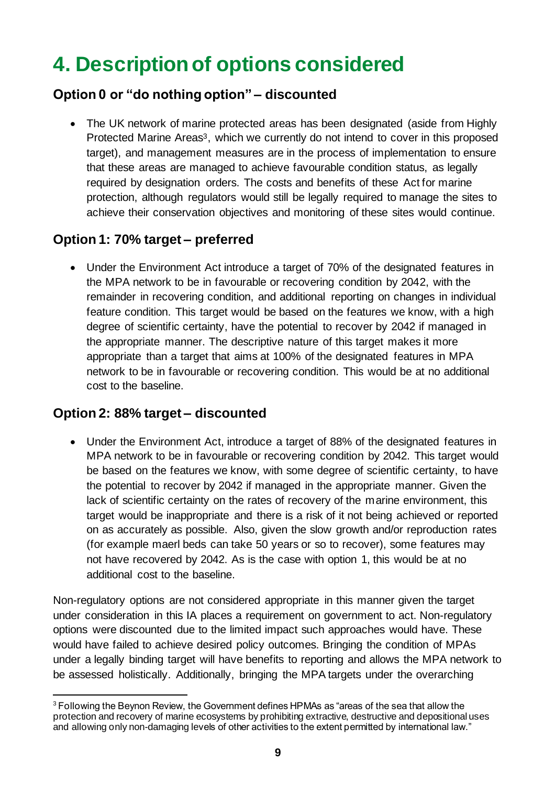# <span id="page-8-0"></span>**4. Description of options considered**

### **Option 0 or "do nothing option" – discounted**

• The UK network of marine protected areas has been designated (aside from Highly Protected Marine Areas<sup>3</sup>, which we currently do not intend to cover in this proposed target), and management measures are in the process of implementation to ensure that these areas are managed to achieve favourable condition status, as legally required by designation orders. The costs and benefits of these Act for marine protection, although regulators would still be legally required to manage the sites to achieve their conservation objectives and monitoring of these sites would continue.

### **Option 1: 70% target – preferred**

• Under the Environment Act introduce a target of 70% of the designated features in the MPA network to be in favourable or recovering condition by 2042, with the remainder in recovering condition, and additional reporting on changes in individual feature condition. This target would be based on the features we know, with a high degree of scientific certainty, have the potential to recover by 2042 if managed in the appropriate manner. The descriptive nature of this target makes it more appropriate than a target that aims at 100% of the designated features in MPA network to be in favourable or recovering condition. This would be at no additional cost to the baseline.

### **Option 2: 88% target – discounted**

• Under the Environment Act, introduce a target of 88% of the designated features in MPA network to be in favourable or recovering condition by 2042. This target would be based on the features we know, with some degree of scientific certainty, to have the potential to recover by 2042 if managed in the appropriate manner. Given the lack of scientific certainty on the rates of recovery of the marine environment, this target would be inappropriate and there is a risk of it not being achieved or reported on as accurately as possible. Also, given the slow growth and/or reproduction rates (for example maerl beds can take 50 years or so to recover), some features may not have recovered by 2042. As is the case with option 1, this would be at no additional cost to the baseline.

Non-regulatory options are not considered appropriate in this manner given the target under consideration in this IA places a requirement on government to act. Non-regulatory options were discounted due to the limited impact such approaches would have. These would have failed to achieve desired policy outcomes. Bringing the condition of MPAs under a legally binding target will have benefits to reporting and allows the MPA network to be assessed holistically. Additionally, bringing the MPA targets under the overarching

<sup>&</sup>lt;sup>3</sup> Following the Beynon Review, the Government defines HPMAs as "areas of the sea that allow the protection and recovery of marine ecosystems by prohibiting extractive, destructive and depositional uses and allowing only non-damaging levels of other activities to the extent permitted by international law."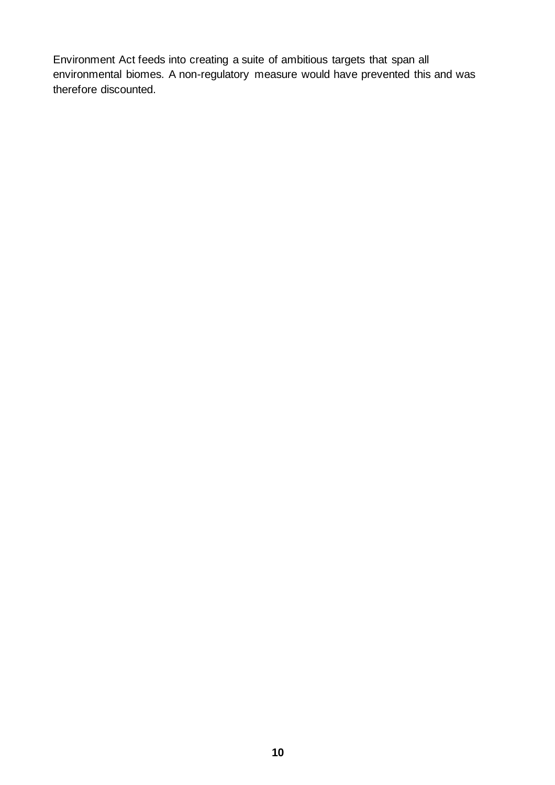Environment Act feeds into creating a suite of ambitious targets that span all environmental biomes. A non-regulatory measure would have prevented this and was therefore discounted.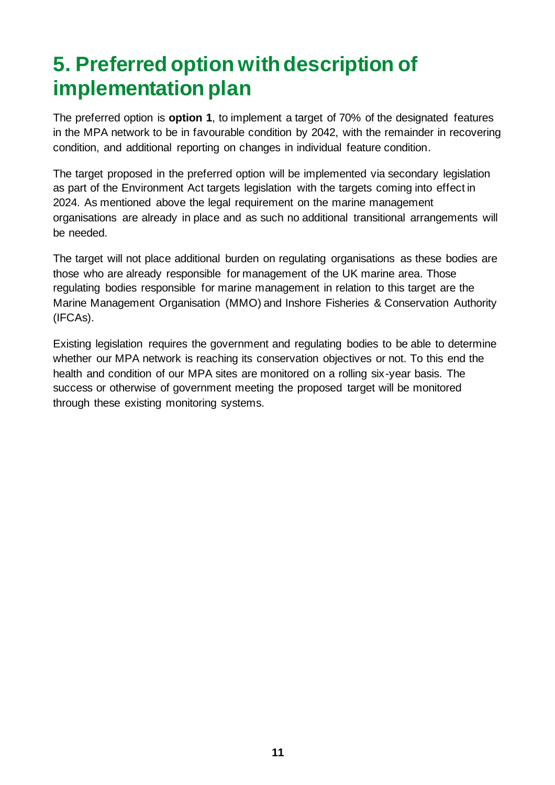# <span id="page-10-0"></span>**5. Preferred option with description of implementation plan**

The preferred option is **option 1**, to implement a target of 70% of the designated features in the MPA network to be in favourable condition by 2042, with the remainder in recovering condition, and additional reporting on changes in individual feature condition.

The target proposed in the preferred option will be implemented via secondary legislation as part of the Environment Act targets legislation with the targets coming into effect in 2024. As mentioned above the legal requirement on the marine management organisations are already in place and as such no additional transitional arrangements will be needed.

The target will not place additional burden on regulating organisations as these bodies are those who are already responsible for management of the UK marine area. Those regulating bodies responsible for marine management in relation to this target are the Marine Management Organisation (MMO) and Inshore Fisheries & Conservation Authority (IFCAs).

Existing legislation requires the government and regulating bodies to be able to determine whether our MPA network is reaching its conservation objectives or not. To this end the health and condition of our MPA sites are monitored on a rolling six-year basis. The success or otherwise of government meeting the proposed target will be monitored through these existing monitoring systems.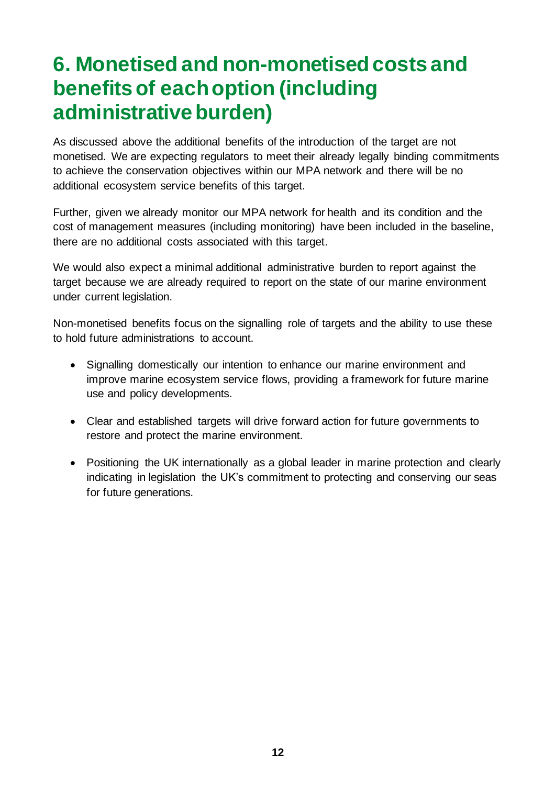## <span id="page-11-0"></span>**6. Monetised and non-monetised costs and benefits of each option (including administrative burden)**

As discussed above the additional benefits of the introduction of the target are not monetised. We are expecting regulators to meet their already legally binding commitments to achieve the conservation objectives within our MPA network and there will be no additional ecosystem service benefits of this target.

Further, given we already monitor our MPA network for health and its condition and the cost of management measures (including monitoring) have been included in the baseline, there are no additional costs associated with this target.

We would also expect a minimal additional administrative burden to report against the target because we are already required to report on the state of our marine environment under current legislation.

Non-monetised benefits focus on the signalling role of targets and the ability to use these to hold future administrations to account.

- Signalling domestically our intention to enhance our marine environment and improve marine ecosystem service flows, providing a framework for future marine use and policy developments.
- Clear and established targets will drive forward action for future governments to restore and protect the marine environment.
- Positioning the UK internationally as a global leader in marine protection and clearly indicating in legislation the UK's commitment to protecting and conserving our seas for future generations.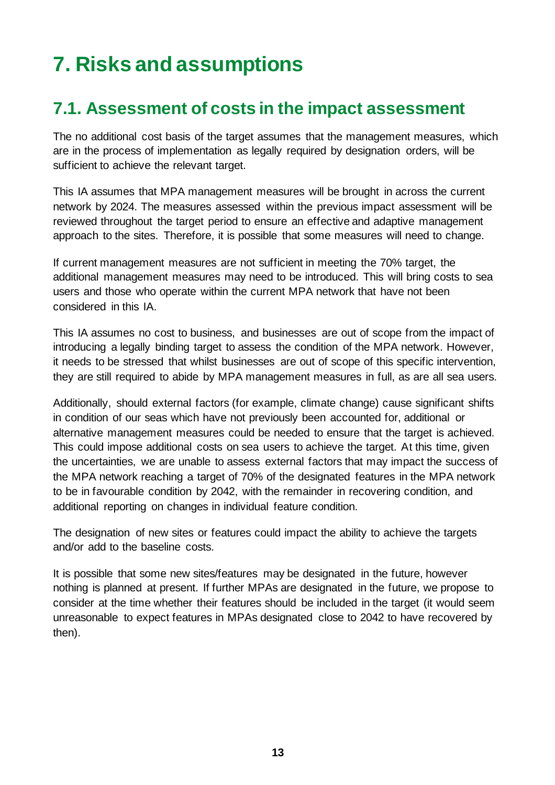# <span id="page-12-0"></span>**7. Risks and assumptions**

### <span id="page-12-1"></span>**7.1. Assessment of costs in the impact assessment**

The no additional cost basis of the target assumes that the management measures, which are in the process of implementation as legally required by designation orders, will be sufficient to achieve the relevant target.

This IA assumes that MPA management measures will be brought in across the current network by 2024. The measures assessed within the previous impact assessment will be reviewed throughout the target period to ensure an effective and adaptive management approach to the sites. Therefore, it is possible that some measures will need to change.

If current management measures are not sufficient in meeting the 70% target, the additional management measures may need to be introduced. This will bring costs to sea users and those who operate within the current MPA network that have not been considered in this IA.

This IA assumes no cost to business, and businesses are out of scope from the impact of introducing a legally binding target to assess the condition of the MPA network. However, it needs to be stressed that whilst businesses are out of scope of this specific intervention, they are still required to abide by MPA management measures in full, as are all sea users.

Additionally, should external factors (for example, climate change) cause significant shifts in condition of our seas which have not previously been accounted for, additional or alternative management measures could be needed to ensure that the target is achieved. This could impose additional costs on sea users to achieve the target. At this time, given the uncertainties, we are unable to assess external factors that may impact the success of the MPA network reaching a target of 70% of the designated features in the MPA network to be in favourable condition by 2042, with the remainder in recovering condition, and additional reporting on changes in individual feature condition.

The designation of new sites or features could impact the ability to achieve the targets and/or add to the baseline costs.

It is possible that some new sites/features may be designated in the future, however nothing is planned at present. If further MPAs are designated in the future, we propose to consider at the time whether their features should be included in the target (it would seem unreasonable to expect features in MPAs designated close to 2042 to have recovered by then).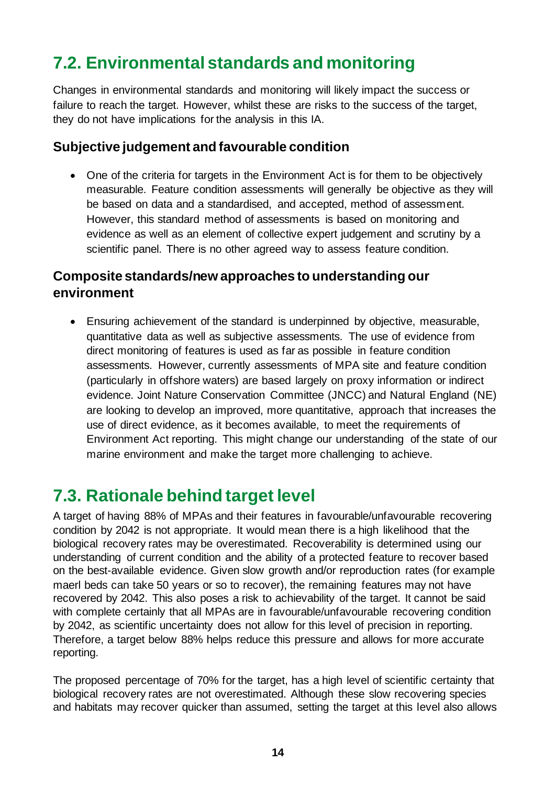## <span id="page-13-0"></span>**7.2. Environmental standards and monitoring**

Changes in environmental standards and monitoring will likely impact the success or failure to reach the target. However, whilst these are risks to the success of the target, they do not have implications for the analysis in this IA.

### **Subjective judgement and favourable condition**

• One of the criteria for targets in the Environment Act is for them to be objectively measurable. Feature condition assessments will generally be objective as they will be based on data and a standardised, and accepted, method of assessment. However, this standard method of assessments is based on monitoring and evidence as well as an element of collective expert judgement and scrutiny by a scientific panel. There is no other agreed way to assess feature condition.

### **Composite standards/new approaches to understanding our environment**

• Ensuring achievement of the standard is underpinned by objective, measurable, quantitative data as well as subjective assessments. The use of evidence from direct monitoring of features is used as far as possible in feature condition assessments. However, currently assessments of MPA site and feature condition (particularly in offshore waters) are based largely on proxy information or indirect evidence. Joint Nature Conservation Committee (JNCC) and Natural England (NE) are looking to develop an improved, more quantitative, approach that increases the use of direct evidence, as it becomes available, to meet the requirements of Environment Act reporting. This might change our understanding of the state of our marine environment and make the target more challenging to achieve.

### <span id="page-13-1"></span>**7.3. Rationale behind target level**

A target of having 88% of MPAs and their features in favourable/unfavourable recovering condition by 2042 is not appropriate. It would mean there is a high likelihood that the biological recovery rates may be overestimated. Recoverability is determined using our understanding of current condition and the ability of a protected feature to recover based on the best-available evidence. Given slow growth and/or reproduction rates (for example maerl beds can take 50 years or so to recover), the remaining features may not have recovered by 2042. This also poses a risk to achievability of the target. It cannot be said with complete certainly that all MPAs are in favourable/unfavourable recovering condition by 2042, as scientific uncertainty does not allow for this level of precision in reporting. Therefore, a target below 88% helps reduce this pressure and allows for more accurate reporting.

The proposed percentage of 70% for the target, has a high level of scientific certainty that biological recovery rates are not overestimated. Although these slow recovering species and habitats may recover quicker than assumed, setting the target at this level also allows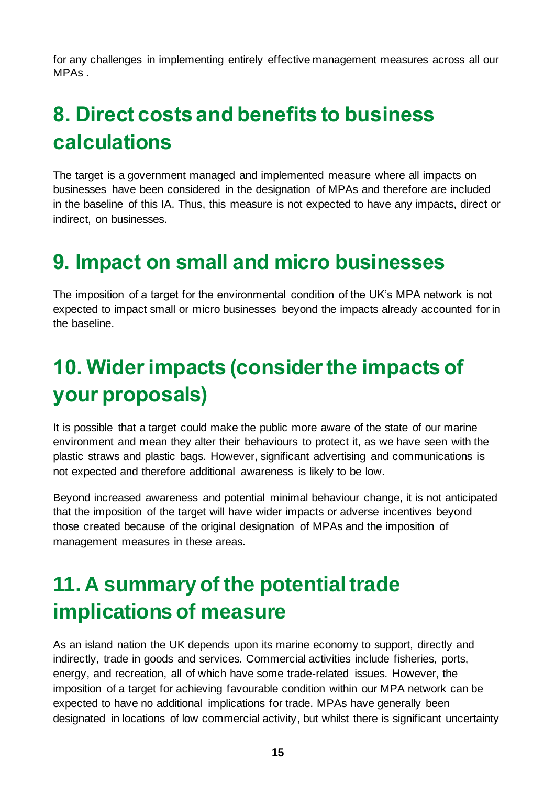for any challenges in implementing entirely effective management measures across all our MPAs .

# <span id="page-14-0"></span>**8. Direct costs and benefits to business calculations**

The target is a government managed and implemented measure where all impacts on businesses have been considered in the designation of MPAs and therefore are included in the baseline of this IA. Thus, this measure is not expected to have any impacts, direct or indirect, on businesses.

## <span id="page-14-1"></span>**9. Impact on small and micro businesses**

The imposition of a target for the environmental condition of the UK's MPA network is not expected to impact small or micro businesses beyond the impacts already accounted for in the baseline.

# <span id="page-14-2"></span>**10. Wider impacts (consider the impacts of your proposals)**

It is possible that a target could make the public more aware of the state of our marine environment and mean they alter their behaviours to protect it, as we have seen with the plastic straws and plastic bags. However, significant advertising and communications is not expected and therefore additional awareness is likely to be low.

Beyond increased awareness and potential minimal behaviour change, it is not anticipated that the imposition of the target will have wider impacts or adverse incentives beyond those created because of the original designation of MPAs and the imposition of management measures in these areas.

# <span id="page-14-3"></span>**11. A summary of the potential trade implications of measure**

As an island nation the UK depends upon its marine economy to support, directly and indirectly, trade in goods and services. Commercial activities include fisheries, ports, energy, and recreation, all of which have some trade-related issues. However, the imposition of a target for achieving favourable condition within our MPA network can be expected to have no additional implications for trade. MPAs have generally been designated in locations of low commercial activity, but whilst there is significant uncertainty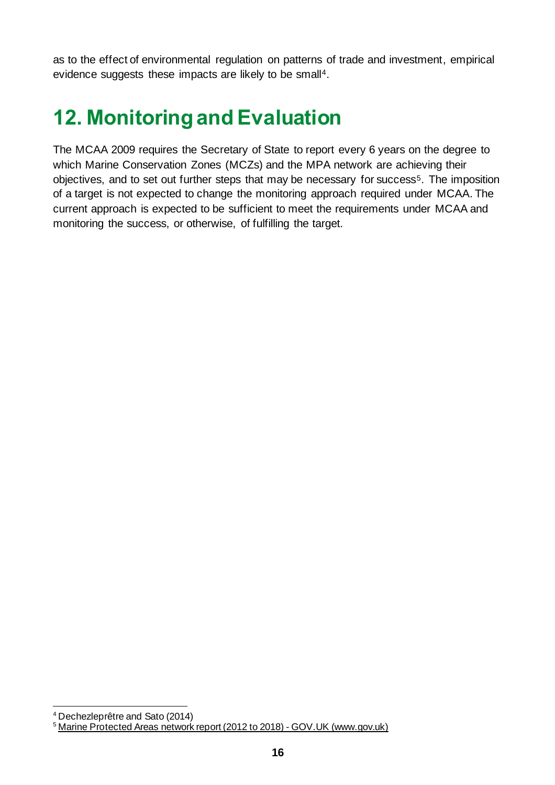as to the effect of environmental regulation on patterns of trade and investment, empirical evidence suggests these impacts are likely to be small<sup>4</sup>.

# <span id="page-15-0"></span>**12. Monitoring and Evaluation**

The MCAA 2009 requires the Secretary of State to report every 6 years on the degree to which Marine Conservation Zones (MCZs) and the MPA network are achieving their objectives, and to set out further steps that may be necessary for success<sup>5</sup>. The imposition of a target is not expected to change the monitoring approach required under MCAA. The current approach is expected to be sufficient to meet the requirements under MCAA and monitoring the success, or otherwise, of fulfilling the target.

<sup>4</sup> Dechezleprêtre and Sato (2014)

<sup>&</sup>lt;sup>5</sup> [Marine Protected Areas network report \(2012 to 2018\) -](https://www.gov.uk/government/publications/marine-protected-areas-network-report-2012-to-2018) GOV.UK (www.gov.uk)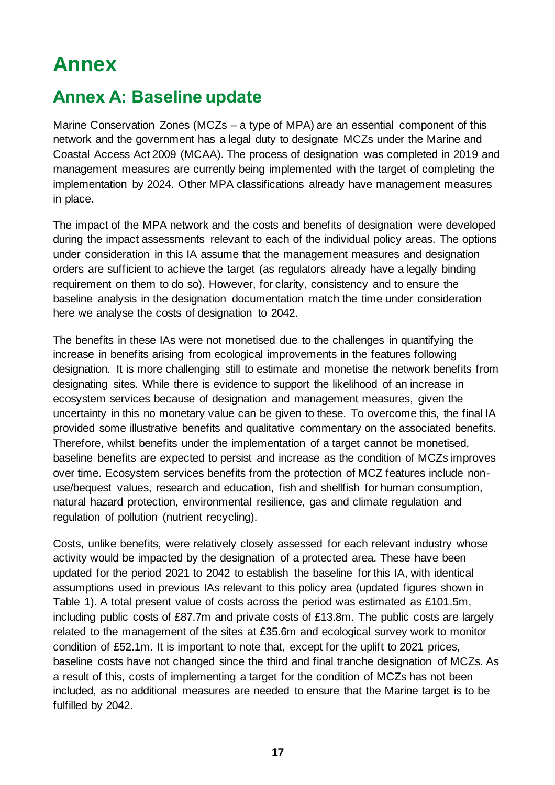## <span id="page-16-0"></span>**Annex**

## <span id="page-16-1"></span>**Annex A: Baseline update**

Marine Conservation Zones (MCZs – a type of MPA) are an essential component of this network and the government has a legal duty to designate MCZs under the Marine and Coastal Access Act 2009 (MCAA). The process of designation was completed in 2019 and management measures are currently being implemented with the target of completing the implementation by 2024. Other MPA classifications already have management measures in place.

The impact of the MPA network and the costs and benefits of designation were developed during the impact assessments relevant to each of the individual policy areas. The options under consideration in this IA assume that the management measures and designation orders are sufficient to achieve the target (as regulators already have a legally binding requirement on them to do so). However, for clarity, consistency and to ensure the baseline analysis in the designation documentation match the time under consideration here we analyse the costs of designation to 2042.

The benefits in these IAs were not monetised due to the challenges in quantifying the increase in benefits arising from ecological improvements in the features following designation. It is more challenging still to estimate and monetise the network benefits from designating sites. While there is evidence to support the likelihood of an increase in ecosystem services because of designation and management measures, given the uncertainty in this no monetary value can be given to these. To overcome this, the final IA provided some illustrative benefits and qualitative commentary on the associated benefits. Therefore, whilst benefits under the implementation of a target cannot be monetised, baseline benefits are expected to persist and increase as the condition of MCZs improves over time. Ecosystem services benefits from the protection of MCZ features include nonuse/bequest values, research and education, fish and shellfish for human consumption, natural hazard protection, environmental resilience, gas and climate regulation and regulation of pollution (nutrient recycling).

Costs, unlike benefits, were relatively closely assessed for each relevant industry whose activity would be impacted by the designation of a protected area. These have been updated for the period 2021 to 2042 to establish the baseline for this IA, with identical assumptions used in previous IAs relevant to this policy area (updated figures shown in [Table 1\)](#page-18-0). A total present value of costs across the period was estimated as £101.5m, including public costs of £87.7m and private costs of £13.8m. The public costs are largely related to the management of the sites at £35.6m and ecological survey work to monitor condition of £52.1m. It is important to note that, except for the uplift to 2021 prices, baseline costs have not changed since the third and final tranche designation of MCZs. As a result of this, costs of implementing a target for the condition of MCZs has not been included, as no additional measures are needed to ensure that the Marine target is to be fulfilled by 2042.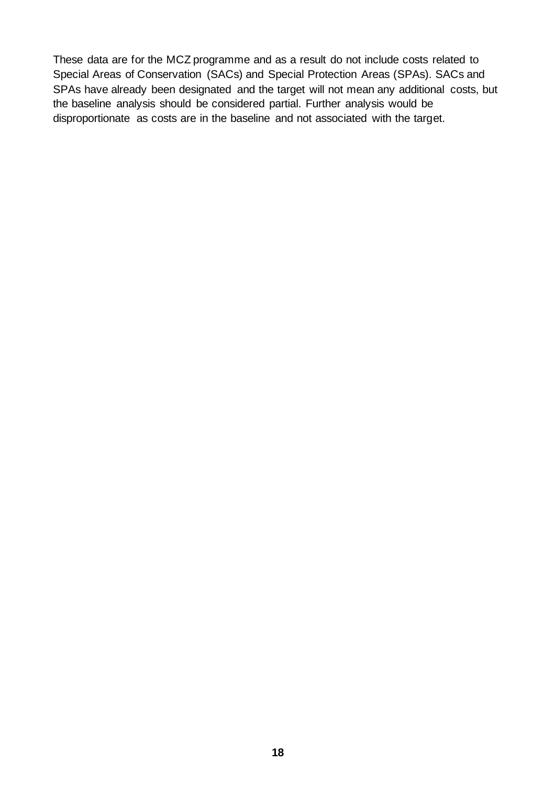These data are for the MCZ programme and as a result do not include costs related to Special Areas of Conservation (SACs) and Special Protection Areas (SPAs). SACs and SPAs have already been designated and the target will not mean any additional costs, but the baseline analysis should be considered partial. Further analysis would be disproportionate as costs are in the baseline and not associated with the target.